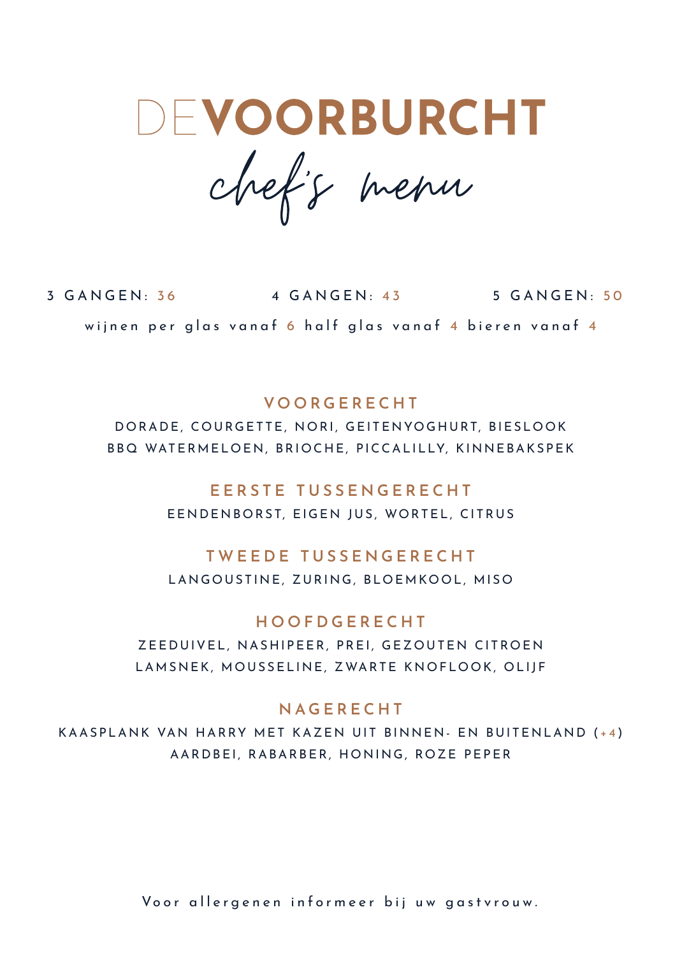DEVOORBURCHT

chef's menu

3 GANGEN: 36 4 GANGEN: 43 5 GANGEN: 50 wijnen per glas vanaf 6 half glas vanaf 4 bieren vanaf 4

## **VOORGERECHT**

DORADE, COURGETTE, NORI, GEITENYOGHURT, BIESLOOK BBQ WATERMELOEN, BRIOCHE, PICCALILLY, KINNEBAKSPEK

# **EERSTE TUSSENGERECHT**

EENDENBORST, EIGEN JUS, WORTEL, CITRUS

# **TWEEDE TUSSENGERECHT**

LANGOUSTINE, ZURING, BLOEMKOOL, MISO

# **HOOFDGERECHT**

ZEEDUIVEL, NASHIPEER, PREI, GEZOUTEN CITROEN LAMSNEK, MOUSSELINE, ZWARTE KNOFLOOK, OLIJF

### **NAGERECHT**

KAASPLANK VAN HARRY MET KAZEN UIT BINNEN- EN BUITENLAND ( +4 ) AARDBEI, RABARBER, HONING, ROZE PEPER

Voor allergenen informeer bij uw gastvrouw.